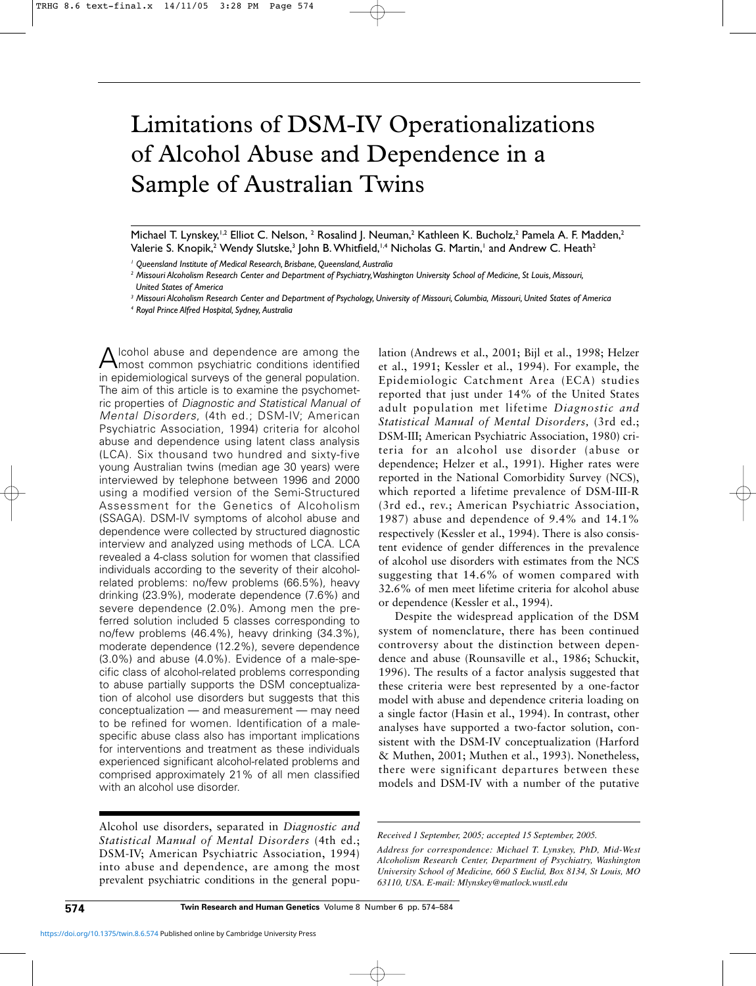# Limitations of DSM-IV Operationalizations of Alcohol Abuse and Dependence in a Sample of Australian Twins

Michael T. Lynskey,<sup>1,2</sup> Elliot C. Nelson, <sup>2</sup> Rosalind J. Neuman,<sup>2</sup> Kathleen K. Bucholz,<sup>2</sup> Pamela A. F. Madden,<sup>2</sup> Valerie S. Knopik,<sup>2</sup> Wendy Slutske,<sup>3</sup> John B. Whitfield,<sup>1,4</sup> Nicholas G. Martin,<sup>1</sup> and Andrew C. Heath<sup>2</sup>

*<sup>1</sup> Queensland Institute of Medical Research, Brisbane, Queensland, Australia*

*<sup>2</sup> Missouri Alcoholism Research Center and Department of Psychiatry,Washington University School of Medicine, St Louis, Missouri, United States of America*

*<sup>3</sup> Missouri Alcoholism Research Center and Department of Psychology, University of Missouri, Columbia, Missouri, United States of America <sup>4</sup> Royal Prince Alfred Hospital, Sydney, Australia*

A cohol abuse and dependence are among the<br>most common psychiatric conditions identified in epidemiological surveys of the general population. The aim of this article is to examine the psychometric properties of Diagnostic and Statistical Manual of Mental Disorders, (4th ed.; DSM-IV; American Psychiatric Association, 1994) criteria for alcohol abuse and dependence using latent class analysis (LCA). Six thousand two hundred and sixty-five young Australian twins (median age 30 years) were interviewed by telephone between 1996 and 2000 using a modified version of the Semi-Structured Assessment for the Genetics of Alcoholism (SSAGA). DSM-IV symptoms of alcohol abuse and dependence were collected by structured diagnostic interview and analyzed using methods of LCA. LCA revealed a 4-class solution for women that classified individuals according to the severity of their alcoholrelated problems: no/few problems (66.5%), heavy drinking (23.9%), moderate dependence (7.6%) and severe dependence (2.0%). Among men the preferred solution included 5 classes corresponding to no/few problems (46.4%), heavy drinking (34.3%), moderate dependence (12.2%), severe dependence (3.0%) and abuse (4.0%). Evidence of a male-specific class of alcohol-related problems corresponding to abuse partially supports the DSM conceptualization of alcohol use disorders but suggests that this conceptualization — and measurement — may need to be refined for women. Identification of a malespecific abuse class also has important implications for interventions and treatment as these individuals experienced significant alcohol-related problems and comprised approximately 21% of all men classified with an alcohol use disorder.

lation (Andrews et al., 2001; Bijl et al., 1998; Helzer et al., 1991; Kessler et al., 1994). For example, the Epidemiologic Catchment Area (ECA) studies reported that just under 14% of the United States adult population met lifetime *Diagnostic and Statistical Manual of Mental Disorders,* (3rd ed.; DSM-III; American Psychiatric Association, 1980) criteria for an alcohol use disorder (abuse or dependence; Helzer et al., 1991). Higher rates were reported in the National Comorbidity Survey (NCS), which reported a lifetime prevalence of DSM-III-R (3rd ed., rev.; American Psychiatric Association, 1987) abuse and dependence of 9.4% and 14.1% respectively (Kessler et al., 1994). There is also consistent evidence of gender differences in the prevalence of alcohol use disorders with estimates from the NCS suggesting that 14.6% of women compared with 32.6% of men meet lifetime criteria for alcohol abuse or dependence (Kessler et al., 1994).

Despite the widespread application of the DSM system of nomenclature, there has been continued controversy about the distinction between dependence and abuse (Rounsaville et al., 1986; Schuckit, 1996). The results of a factor analysis suggested that these criteria were best represented by a one-factor model with abuse and dependence criteria loading on a single factor (Hasin et al., 1994). In contrast, other analyses have supported a two-factor solution, consistent with the DSM-IV conceptualization (Harford & Muthen, 2001; Muthen et al., 1993). Nonetheless, there were significant departures between these models and DSM-IV with a number of the putative

Alcohol use disorders, separated in *Diagnostic and Statistical Manual of Mental Disorders* (4th ed.; DSM-IV; American Psychiatric Association, 1994) into abuse and dependence, are among the most prevalent psychiatric conditions in the general popu-

*Received 1 September, 2005; accepted 15 September, 2005.* 

*Address for correspondence: Michael T. Lynskey, PhD, Mid-West Alcoholism Research Center, Department of Psychiatry, Washington University School of Medicine, 660 S Euclid, Box 8134, St Louis, MO 63110, USA. E-mail: Mlynskey@matlock.wustl.edu*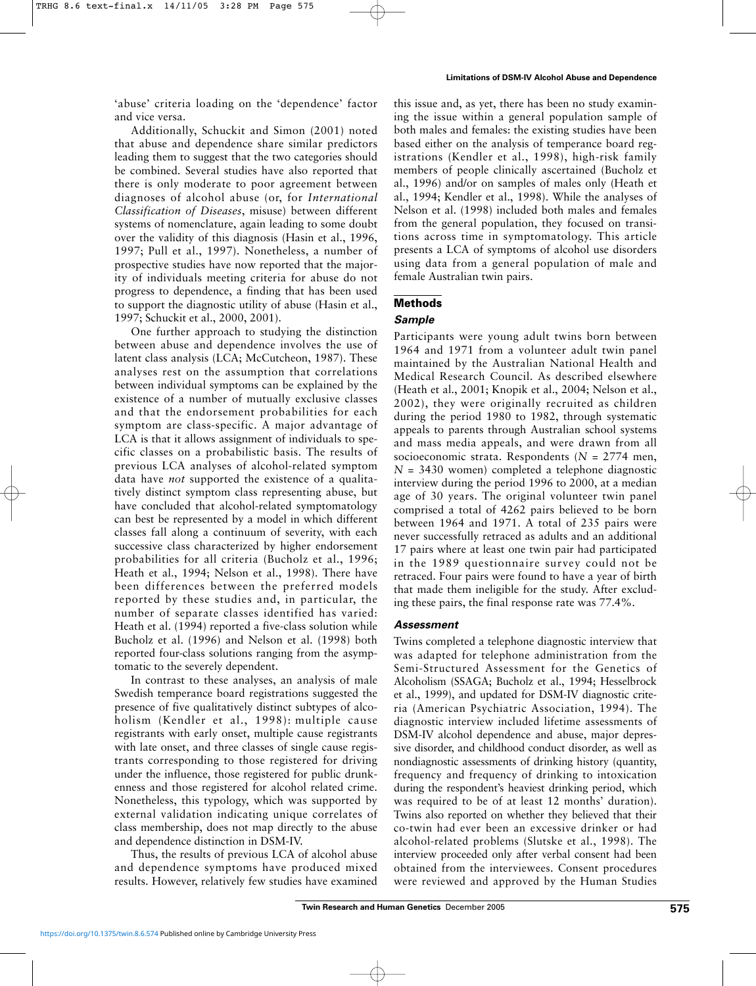'abuse' criteria loading on the 'dependence' factor and vice versa.

Additionally, Schuckit and Simon (2001) noted that abuse and dependence share similar predictors leading them to suggest that the two categories should be combined. Several studies have also reported that there is only moderate to poor agreement between diagnoses of alcohol abuse (or, for *International Classification of Diseases*, misuse) between different systems of nomenclature, again leading to some doubt over the validity of this diagnosis (Hasin et al., 1996, 1997; Pull et al., 1997). Nonetheless, a number of prospective studies have now reported that the majority of individuals meeting criteria for abuse do not progress to dependence, a finding that has been used to support the diagnostic utility of abuse (Hasin et al., 1997; Schuckit et al., 2000, 2001).

One further approach to studying the distinction between abuse and dependence involves the use of latent class analysis (LCA; McCutcheon, 1987). These analyses rest on the assumption that correlations between individual symptoms can be explained by the existence of a number of mutually exclusive classes and that the endorsement probabilities for each symptom are class-specific. A major advantage of LCA is that it allows assignment of individuals to specific classes on a probabilistic basis. The results of previous LCA analyses of alcohol-related symptom data have *not* supported the existence of a qualitatively distinct symptom class representing abuse, but have concluded that alcohol-related symptomatology can best be represented by a model in which different classes fall along a continuum of severity, with each successive class characterized by higher endorsement probabilities for all criteria (Bucholz et al., 1996; Heath et al., 1994; Nelson et al., 1998). There have been differences between the preferred models reported by these studies and, in particular, the number of separate classes identified has varied: Heath et al. (1994) reported a five-class solution while Bucholz et al. (1996) and Nelson et al. (1998) both reported four-class solutions ranging from the asymptomatic to the severely dependent.

In contrast to these analyses, an analysis of male Swedish temperance board registrations suggested the presence of five qualitatively distinct subtypes of alcoholism (Kendler et al., 1998): multiple cause registrants with early onset, multiple cause registrants with late onset, and three classes of single cause registrants corresponding to those registered for driving under the influence, those registered for public drunkenness and those registered for alcohol related crime. Nonetheless, this typology, which was supported by external validation indicating unique correlates of class membership, does not map directly to the abuse and dependence distinction in DSM-IV.

Thus, the results of previous LCA of alcohol abuse and dependence symptoms have produced mixed results. However, relatively few studies have examined

this issue and, as yet, there has been no study examining the issue within a general population sample of both males and females: the existing studies have been based either on the analysis of temperance board registrations (Kendler et al., 1998), high-risk family members of people clinically ascertained (Bucholz et al., 1996) and/or on samples of males only (Heath et al., 1994; Kendler et al., 1998). While the analyses of Nelson et al. (1998) included both males and females from the general population, they focused on transitions across time in symptomatology. This article presents a LCA of symptoms of alcohol use disorders using data from a general population of male and female Australian twin pairs.

## **Methods**

## **Sample**

Participants were young adult twins born between 1964 and 1971 from a volunteer adult twin panel maintained by the Australian National Health and Medical Research Council. As described elsewhere (Heath et al., 2001; Knopik et al., 2004; Nelson et al., 2002), they were originally recruited as children during the period 1980 to 1982, through systematic appeals to parents through Australian school systems and mass media appeals, and were drawn from all socioeconomic strata. Respondents (*N* = 2774 men, *N* = 3430 women) completed a telephone diagnostic interview during the period 1996 to 2000, at a median age of 30 years. The original volunteer twin panel comprised a total of 4262 pairs believed to be born between 1964 and 1971. A total of 235 pairs were never successfully retraced as adults and an additional 17 pairs where at least one twin pair had participated in the 1989 questionnaire survey could not be retraced. Four pairs were found to have a year of birth that made them ineligible for the study. After excluding these pairs, the final response rate was 77.4%.

## **Assessment**

Twins completed a telephone diagnostic interview that was adapted for telephone administration from the Semi-Structured Assessment for the Genetics of Alcoholism (SSAGA; Bucholz et al., 1994; Hesselbrock et al., 1999), and updated for DSM-IV diagnostic criteria (American Psychiatric Association, 1994). The diagnostic interview included lifetime assessments of DSM-IV alcohol dependence and abuse, major depressive disorder, and childhood conduct disorder, as well as nondiagnostic assessments of drinking history (quantity, frequency and frequency of drinking to intoxication during the respondent's heaviest drinking period, which was required to be of at least 12 months' duration). Twins also reported on whether they believed that their co-twin had ever been an excessive drinker or had alcohol-related problems (Slutske et al., 1998). The interview proceeded only after verbal consent had been obtained from the interviewees. Consent procedures were reviewed and approved by the Human Studies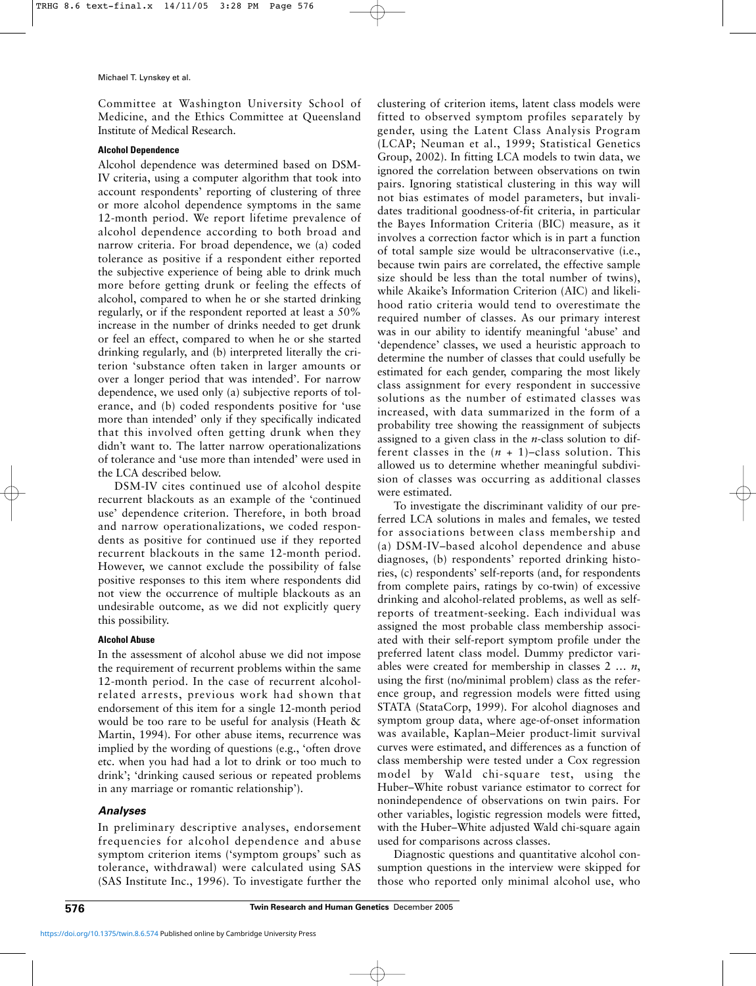Committee at Washington University School of Medicine, and the Ethics Committee at Queensland Institute of Medical Research.

## **Alcohol Dependence**

Alcohol dependence was determined based on DSM-IV criteria, using a computer algorithm that took into account respondents' reporting of clustering of three or more alcohol dependence symptoms in the same 12-month period. We report lifetime prevalence of alcohol dependence according to both broad and narrow criteria. For broad dependence, we (a) coded tolerance as positive if a respondent either reported the subjective experience of being able to drink much more before getting drunk or feeling the effects of alcohol, compared to when he or she started drinking regularly, or if the respondent reported at least a 50% increase in the number of drinks needed to get drunk or feel an effect, compared to when he or she started drinking regularly, and (b) interpreted literally the criterion 'substance often taken in larger amounts or over a longer period that was intended'. For narrow dependence, we used only (a) subjective reports of tolerance, and (b) coded respondents positive for 'use more than intended' only if they specifically indicated that this involved often getting drunk when they didn't want to. The latter narrow operationalizations of tolerance and 'use more than intended' were used in the LCA described below.

DSM-IV cites continued use of alcohol despite recurrent blackouts as an example of the 'continued use' dependence criterion. Therefore, in both broad and narrow operationalizations, we coded respondents as positive for continued use if they reported recurrent blackouts in the same 12-month period. However, we cannot exclude the possibility of false positive responses to this item where respondents did not view the occurrence of multiple blackouts as an undesirable outcome, as we did not explicitly query this possibility.

# **Alcohol Abuse**

In the assessment of alcohol abuse we did not impose the requirement of recurrent problems within the same 12-month period. In the case of recurrent alcoholrelated arrests, previous work had shown that endorsement of this item for a single 12-month period would be too rare to be useful for analysis (Heath & Martin, 1994). For other abuse items, recurrence was implied by the wording of questions (e.g., 'often drove etc. when you had had a lot to drink or too much to drink'; 'drinking caused serious or repeated problems in any marriage or romantic relationship').

# **Analyses**

In preliminary descriptive analyses, endorsement frequencies for alcohol dependence and abuse symptom criterion items ('symptom groups' such as tolerance, withdrawal) were calculated using SAS (SAS Institute Inc., 1996). To investigate further the clustering of criterion items, latent class models were fitted to observed symptom profiles separately by gender, using the Latent Class Analysis Program (LCAP; Neuman et al., 1999; Statistical Genetics Group, 2002). In fitting LCA models to twin data, we ignored the correlation between observations on twin pairs. Ignoring statistical clustering in this way will not bias estimates of model parameters, but invalidates traditional goodness-of-fit criteria, in particular the Bayes Information Criteria (BIC) measure, as it involves a correction factor which is in part a function of total sample size would be ultraconservative (i.e., because twin pairs are correlated, the effective sample size should be less than the total number of twins), while Akaike's Information Criterion (AIC) and likelihood ratio criteria would tend to overestimate the required number of classes. As our primary interest was in our ability to identify meaningful 'abuse' and 'dependence' classes, we used a heuristic approach to determine the number of classes that could usefully be estimated for each gender, comparing the most likely class assignment for every respondent in successive solutions as the number of estimated classes was increased, with data summarized in the form of a probability tree showing the reassignment of subjects assigned to a given class in the *n*-class solution to different classes in the  $(n + 1)$ –class solution. This allowed us to determine whether meaningful subdivision of classes was occurring as additional classes were estimated.

To investigate the discriminant validity of our preferred LCA solutions in males and females, we tested for associations between class membership and (a) DSM-IV–based alcohol dependence and abuse diagnoses, (b) respondents' reported drinking histories, (c) respondents' self-reports (and, for respondents from complete pairs, ratings by co-twin) of excessive drinking and alcohol-related problems, as well as selfreports of treatment-seeking. Each individual was assigned the most probable class membership associated with their self-report symptom profile under the preferred latent class model. Dummy predictor variables were created for membership in classes 2 … *n*, using the first (no/minimal problem) class as the reference group, and regression models were fitted using STATA (StataCorp, 1999). For alcohol diagnoses and symptom group data, where age-of-onset information was available, Kaplan–Meier product-limit survival curves were estimated, and differences as a function of class membership were tested under a Cox regression model by Wald chi-square test, using the Huber–White robust variance estimator to correct for nonindependence of observations on twin pairs. For other variables, logistic regression models were fitted, with the Huber–White adjusted Wald chi-square again used for comparisons across classes.

Diagnostic questions and quantitative alcohol consumption questions in the interview were skipped for those who reported only minimal alcohol use, who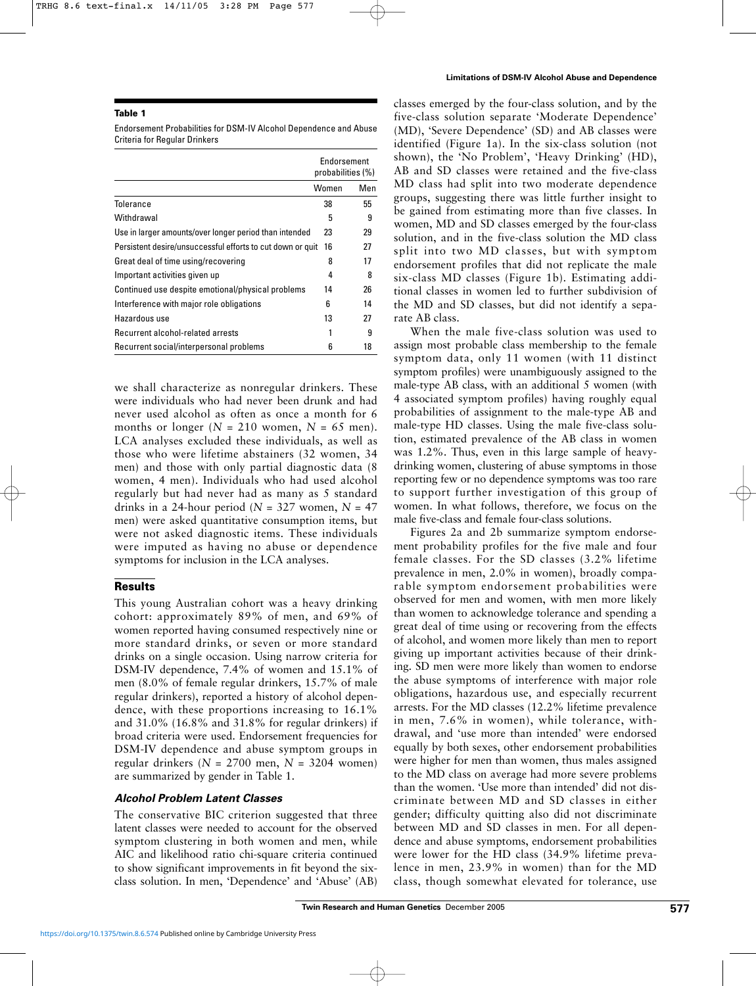Endorsement Probabilities for DSM-IV Alcohol Dependence and Abuse Criteria for Regular Drinkers

|                                                            | Endorsement<br>probabilities (%) |     |
|------------------------------------------------------------|----------------------------------|-----|
|                                                            | Women                            | Men |
| Tolerance                                                  | 38                               | 55  |
| Withdrawal                                                 | 5                                | 9   |
| Use in larger amounts/over longer period than intended     | 23                               | 29  |
| Persistent desire/unsuccessful efforts to cut down or quit | 16                               | 27  |
| Great deal of time using/recovering                        | 8                                | 17  |
| Important activities given up                              | 4                                | 8   |
| Continued use despite emotional/physical problems          | 14                               | 26  |
| Interference with major role obligations                   | 6                                | 14  |
| Hazardous use                                              | 13                               | 27  |
| Recurrent alcohol-related arrests                          |                                  | 9   |
| Recurrent social/interpersonal problems                    | 6                                | 18  |

we shall characterize as nonregular drinkers. These were individuals who had never been drunk and had never used alcohol as often as once a month for 6 months or longer  $(N = 210$  women,  $N = 65$  men). LCA analyses excluded these individuals, as well as those who were lifetime abstainers (32 women, 34 men) and those with only partial diagnostic data (8 women, 4 men). Individuals who had used alcohol regularly but had never had as many as 5 standard drinks in a 24-hour period ( $N = 327$  women,  $N = 47$ men) were asked quantitative consumption items, but were not asked diagnostic items. These individuals were imputed as having no abuse or dependence symptoms for inclusion in the LCA analyses.

## **Results**

This young Australian cohort was a heavy drinking cohort: approximately 89% of men, and 69% of women reported having consumed respectively nine or more standard drinks, or seven or more standard drinks on a single occasion. Using narrow criteria for DSM-IV dependence, 7.4% of women and 15.1% of men (8.0% of female regular drinkers, 15.7% of male regular drinkers), reported a history of alcohol dependence, with these proportions increasing to 16.1% and 31.0% (16.8% and 31.8% for regular drinkers) if broad criteria were used. Endorsement frequencies for DSM-IV dependence and abuse symptom groups in regular drinkers  $(N = 2700 \text{ men}, N = 3204 \text{ women})$ are summarized by gender in Table 1.

#### **Alcohol Problem Latent Classes**

The conservative BIC criterion suggested that three latent classes were needed to account for the observed symptom clustering in both women and men, while AIC and likelihood ratio chi-square criteria continued to show significant improvements in fit beyond the sixclass solution. In men, 'Dependence' and 'Abuse' (AB)

classes emerged by the four-class solution, and by the five-class solution separate 'Moderate Dependence' (MD), 'Severe Dependence' (SD) and AB classes were identified (Figure 1a). In the six-class solution (not shown), the 'No Problem', 'Heavy Drinking' (HD), AB and SD classes were retained and the five-class MD class had split into two moderate dependence groups, suggesting there was little further insight to be gained from estimating more than five classes. In women, MD and SD classes emerged by the four-class solution, and in the five-class solution the MD class split into two MD classes, but with symptom endorsement profiles that did not replicate the male six-class MD classes (Figure 1b). Estimating additional classes in women led to further subdivision of the MD and SD classes, but did not identify a separate AB class.

When the male five-class solution was used to assign most probable class membership to the female symptom data, only 11 women (with 11 distinct symptom profiles) were unambiguously assigned to the male-type AB class, with an additional 5 women (with 4 associated symptom profiles) having roughly equal probabilities of assignment to the male-type AB and male-type HD classes. Using the male five-class solution, estimated prevalence of the AB class in women was 1.2%. Thus, even in this large sample of heavydrinking women, clustering of abuse symptoms in those reporting few or no dependence symptoms was too rare to support further investigation of this group of women. In what follows, therefore, we focus on the male five-class and female four-class solutions.

Figures 2a and 2b summarize symptom endorsement probability profiles for the five male and four female classes. For the SD classes (3.2% lifetime prevalence in men, 2.0% in women), broadly comparable symptom endorsement probabilities were observed for men and women, with men more likely than women to acknowledge tolerance and spending a great deal of time using or recovering from the effects of alcohol, and women more likely than men to report giving up important activities because of their drinking. SD men were more likely than women to endorse the abuse symptoms of interference with major role obligations, hazardous use, and especially recurrent arrests. For the MD classes (12.2% lifetime prevalence in men, 7.6% in women), while tolerance, withdrawal, and 'use more than intended' were endorsed equally by both sexes, other endorsement probabilities were higher for men than women, thus males assigned to the MD class on average had more severe problems than the women. 'Use more than intended' did not discriminate between MD and SD classes in either gender; difficulty quitting also did not discriminate between MD and SD classes in men. For all dependence and abuse symptoms, endorsement probabilities were lower for the HD class (34.9% lifetime prevalence in men, 23.9% in women) than for the MD class, though somewhat elevated for tolerance, use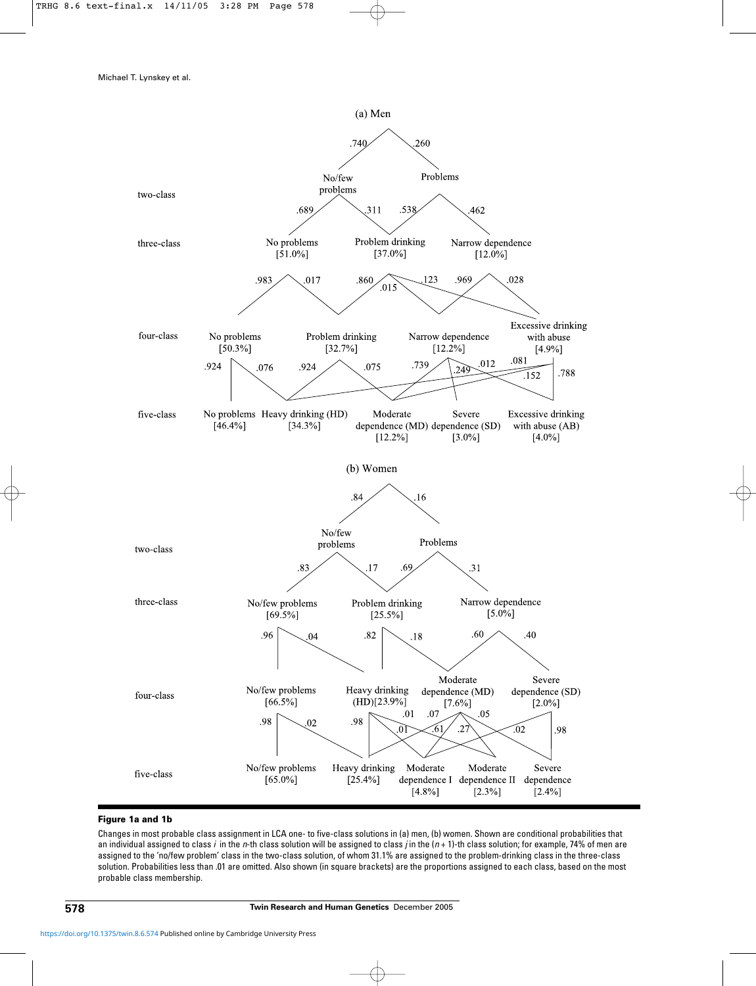

#### **Figure 1a and 1b**

Changes in most probable class assignment in LCA one- to five-class solutions in (a) men, (b) women. Shown are conditional probabilities that an individual assigned to class i in the n-th class solution will be assigned to class j in the  $(n + 1)$ -th class solution; for example, 74% of men are assigned to the 'no/few problem' class in the two-class solution, of whom 31.1% are assigned to the problem-drinking class in the three-class solution. Probabilities less than .01 are omitted. Also shown (in square brackets) are the proportions assigned to each class, based on the most probable class membership.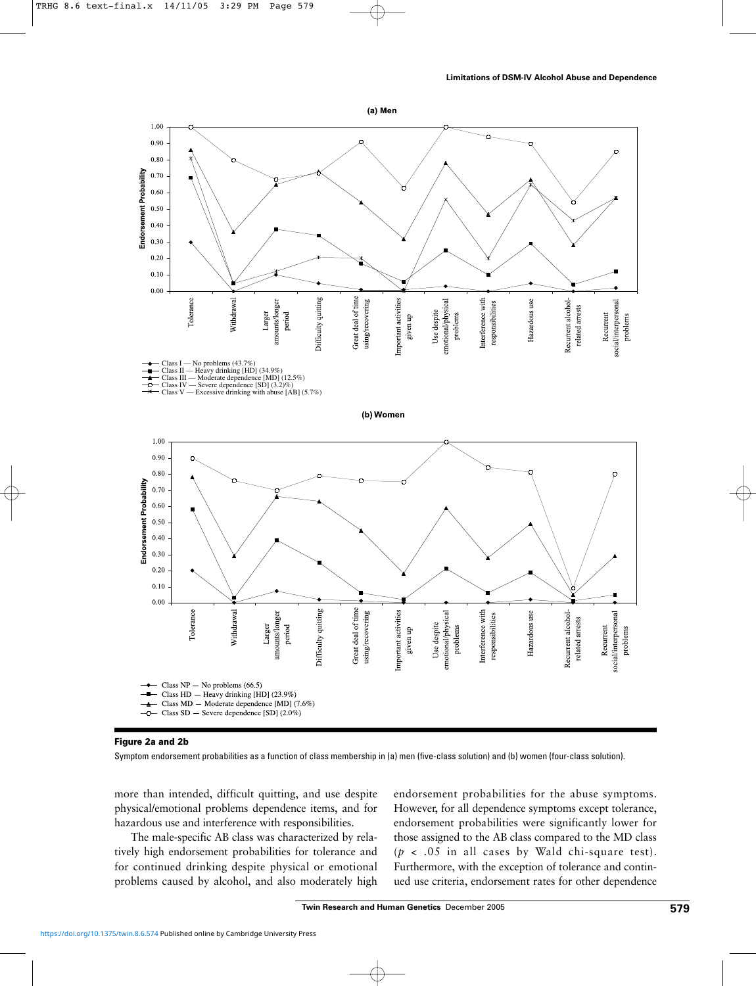

#### **Figure 2a and 2b**

Symptom endorsement probabilities as a function of class membership in (a) men (five-class solution) and (b) women (four-class solution).

more than intended, difficult quitting, and use despite physical/emotional problems dependence items, and for hazardous use and interference with responsibilities.

The male-specific AB class was characterized by relatively high endorsement probabilities for tolerance and for continued drinking despite physical or emotional problems caused by alcohol, and also moderately high

endorsement probabilities for the abuse symptoms. However, for all dependence symptoms except tolerance, endorsement probabilities were significantly lower for those assigned to the AB class compared to the MD class (*p* < .05 in all cases by Wald chi-square test). Furthermore, with the exception of tolerance and continued use criteria, endorsement rates for other dependence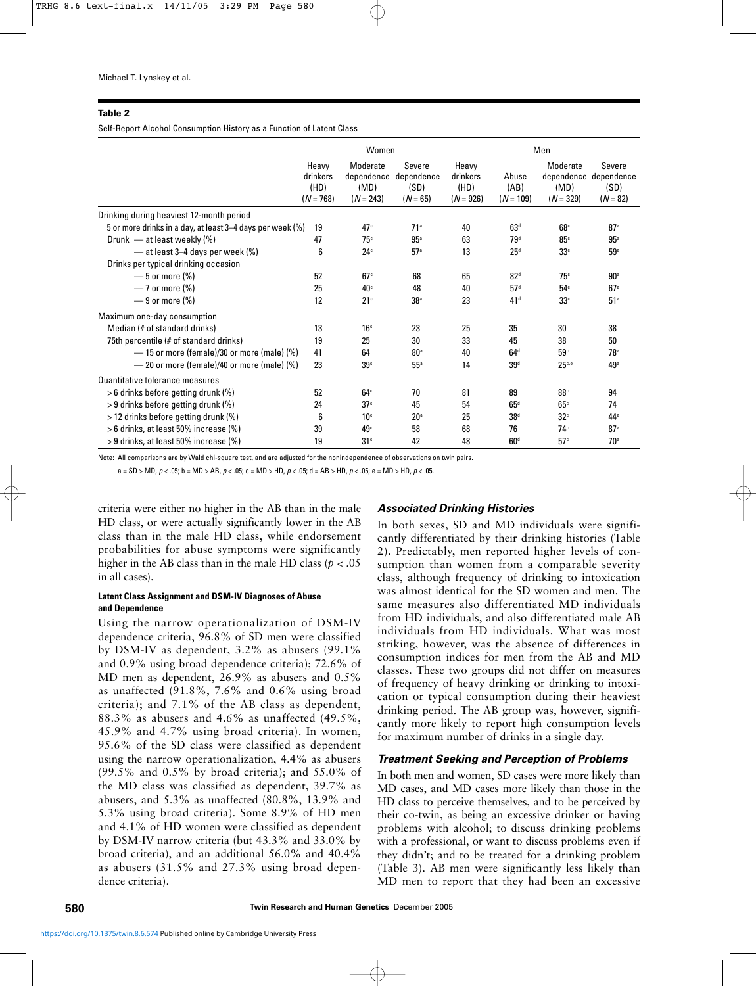Self-Report Alcohol Consumption History as a Function of Latent Class

|                                                           |                                          | Women                           |                                                       | Men                                      |                              |                                 |                                                       |
|-----------------------------------------------------------|------------------------------------------|---------------------------------|-------------------------------------------------------|------------------------------------------|------------------------------|---------------------------------|-------------------------------------------------------|
|                                                           | Heavy<br>drinkers<br>(HD)<br>$(N = 768)$ | Moderate<br>(MD)<br>$(N = 243)$ | Severe<br>dependence dependence<br>(SD)<br>$(N = 65)$ | Heavy<br>drinkers<br>(HD)<br>$(N = 926)$ | Abuse<br>(AB)<br>$(N = 109)$ | Moderate<br>(MD)<br>$(N = 329)$ | Severe<br>dependence dependence<br>(SD)<br>$(N = 82)$ |
| Drinking during heaviest 12-month period                  |                                          |                                 |                                                       |                                          |                              |                                 |                                                       |
| 5 or more drinks in a day, at least 3–4 days per week (%) | 19                                       | 47 <sup>c</sup>                 | 71 <sup>a</sup>                                       | 40                                       | 63 <sup>d</sup>              | 68 <sup>c</sup>                 | 87 <sup>a</sup>                                       |
| Drunk $-$ at least weekly $(\%)$                          | 47                                       | 75°                             | 95a                                                   | 63                                       | 79 <sup>d</sup>              | 85c                             | 95a                                                   |
| — at least 3–4 days per week $(\%)$                       | 6                                        | 24 <sup>c</sup>                 | 57 <sup>a</sup>                                       | 13                                       | 25 <sup>d</sup>              | 33c                             | 59a                                                   |
| Drinks per typical drinking occasion                      |                                          |                                 |                                                       |                                          |                              |                                 |                                                       |
| $-5$ or more (%)                                          | 52                                       | $67^\circ$                      | 68                                                    | 65                                       | 82 <sup>d</sup>              | 75°                             | 90 <sup>a</sup>                                       |
| $-7$ or more (%)                                          | 25                                       | 40 <sup>c</sup>                 | 48                                                    | 40                                       | 57 <sup>d</sup>              | 54 <sup>c</sup>                 | 67 <sup>a</sup>                                       |
| $-9$ or more (%)                                          | 12                                       | 21 <sup>c</sup>                 | 38 <sup>a</sup>                                       | 23                                       | 41 <sup>d</sup>              | 33c                             | 51 <sup>a</sup>                                       |
| Maximum one-day consumption                               |                                          |                                 |                                                       |                                          |                              |                                 |                                                       |
| Median (# of standard drinks)                             | 13                                       | 16 <sup>c</sup>                 | 23                                                    | 25                                       | 35                           | 30                              | 38                                                    |
| 75th percentile (# of standard drinks)                    | 19                                       | 25                              | 30                                                    | 33                                       | 45                           | 38                              | 50                                                    |
| $-$ 15 or more (female)/30 or more (male) (%)             | 41                                       | 64                              | 80 <sup>a</sup>                                       | 40                                       | 64 <sup>d</sup>              | 59°                             | 78 <sup>a</sup>                                       |
| $-20$ or more (female)/40 or more (male) (%)              | 23                                       | 39 <sup>c</sup>                 | 55a                                                   | 14                                       | 39 <sup>d</sup>              | 25c.e                           | 49 <sup>a</sup>                                       |
| Quantitative tolerance measures                           |                                          |                                 |                                                       |                                          |                              |                                 |                                                       |
| > 6 drinks before getting drunk (%)                       | 52                                       | $64^\circ$                      | 70                                                    | 81                                       | 89                           | 88c                             | 94                                                    |
| > 9 drinks before getting drunk (%)                       | 24                                       | 37 <sup>c</sup>                 | 45                                                    | 54                                       | 65 <sup>d</sup>              | 65°                             | 74                                                    |
| > 12 drinks before getting drunk (%)                      | 6                                        | 10 <sup>c</sup>                 | 20 <sup>a</sup>                                       | 25                                       | 38 <sup>d</sup>              | $32^{\circ}$                    | 44 <sup>a</sup>                                       |
| > 6 drinks, at least 50% increase (%)                     | 39                                       | 49 <sup>c</sup>                 | 58                                                    | 68                                       | 76                           | $74^\circ$                      | 87 <sup>a</sup>                                       |
| > 9 drinks, at least 50% increase (%)                     | 19                                       | 31 <sup>c</sup>                 | 42                                                    | 48                                       | 60 <sup>d</sup>              | 57 <sup>c</sup>                 | 70 <sup>a</sup>                                       |

Note: All comparisons are by Wald chi-square test, and are adjusted for the nonindependence of observations on twin pairs.

 $a = SD > MD$ ,  $p < .05$ ;  $b = MD > AB$ ,  $p < .05$ ;  $c = MD > HD$ ,  $p < .05$ ;  $d = AB > HD$ ,  $p < .05$ ;  $e = MD > HD$ ,  $p < .05$ .

criteria were either no higher in the AB than in the male HD class, or were actually significantly lower in the AB class than in the male HD class, while endorsement probabilities for abuse symptoms were significantly higher in the AB class than in the male HD class (*p* < .05 in all cases).

#### **Latent Class Assignment and DSM-IV Diagnoses of Abuse and Dependence**

Using the narrow operationalization of DSM-IV dependence criteria, 96.8% of SD men were classified by DSM-IV as dependent, 3.2% as abusers (99.1% and 0.9% using broad dependence criteria); 72.6% of MD men as dependent, 26.9% as abusers and 0.5% as unaffected (91.8%, 7.6% and 0.6% using broad criteria); and 7.1% of the AB class as dependent, 88.3% as abusers and 4.6% as unaffected (49.5%, 45.9% and 4.7% using broad criteria). In women, 95.6% of the SD class were classified as dependent using the narrow operationalization, 4.4% as abusers (99.5% and 0.5% by broad criteria); and 55.0% of the MD class was classified as dependent, 39.7% as abusers, and 5.3% as unaffected (80.8%, 13.9% and 5.3% using broad criteria). Some 8.9% of HD men and 4.1% of HD women were classified as dependent by DSM-IV narrow criteria (but 43.3% and 33.0% by broad criteria), and an additional 56.0% and 40.4% as abusers (31.5% and 27.3% using broad dependence criteria).

## **Associated Drinking Histories**

In both sexes, SD and MD individuals were significantly differentiated by their drinking histories (Table 2). Predictably, men reported higher levels of consumption than women from a comparable severity class, although frequency of drinking to intoxication was almost identical for the SD women and men. The same measures also differentiated MD individuals from HD individuals, and also differentiated male AB individuals from HD individuals. What was most striking, however, was the absence of differences in consumption indices for men from the AB and MD classes. These two groups did not differ on measures of frequency of heavy drinking or drinking to intoxication or typical consumption during their heaviest drinking period. The AB group was, however, significantly more likely to report high consumption levels for maximum number of drinks in a single day.

## **Treatment Seeking and Perception of Problems**

In both men and women, SD cases were more likely than MD cases, and MD cases more likely than those in the HD class to perceive themselves, and to be perceived by their co-twin, as being an excessive drinker or having problems with alcohol; to discuss drinking problems with a professional, or want to discuss problems even if they didn't; and to be treated for a drinking problem (Table 3). AB men were significantly less likely than MD men to report that they had been an excessive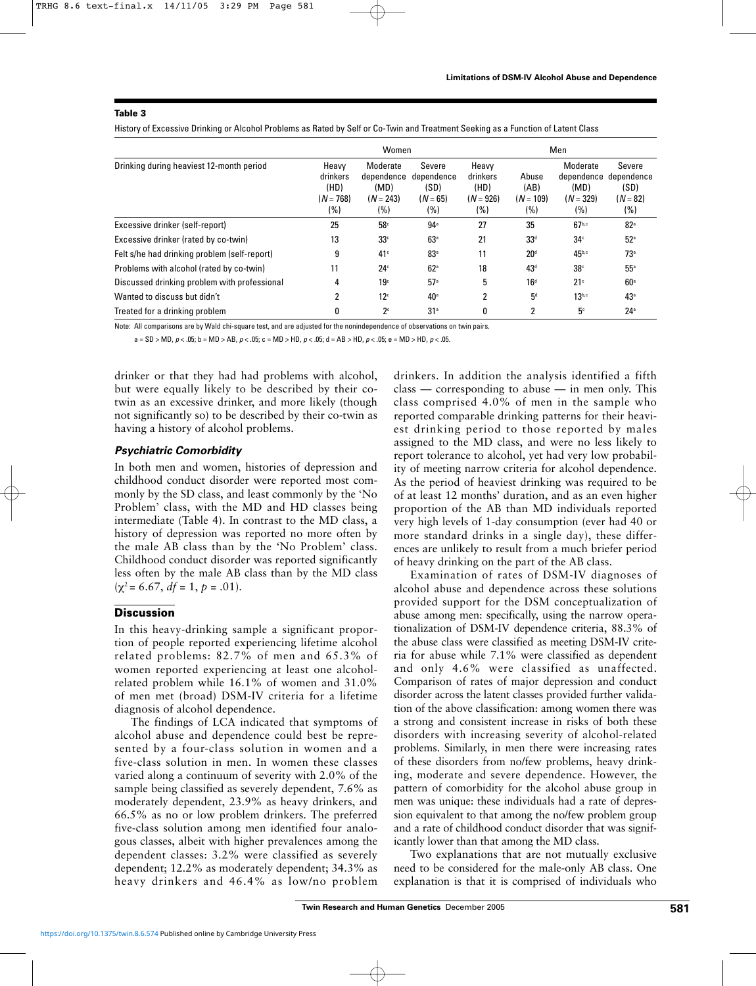History of Excessive Drinking or Alcohol Problems as Rated by Self or Co-Twin and Treatment Seeking as a Function of Latent Class

|                                              |                                                 | Women                                                |                                                   | Men                                             |                                     |                                        |                                                                  |
|----------------------------------------------|-------------------------------------------------|------------------------------------------------------|---------------------------------------------------|-------------------------------------------------|-------------------------------------|----------------------------------------|------------------------------------------------------------------|
| Drinking during heaviest 12-month period     | Heavy<br>drinkers<br>(HD)<br>$(N = 768)$<br>(%) | Moderate<br>dependence<br>(MD)<br>$(N = 243)$<br>(%) | Severe<br>dependence<br>(SD)<br>$(N = 65)$<br>(%) | Heavy<br>drinkers<br>(HD)<br>$(N = 926)$<br>(%) | Abuse<br>(AB)<br>$(N = 109)$<br>(%) | Moderate<br>(MD)<br>$(N = 329)$<br>(%) | Severe<br>dependence dependence<br>(SD)<br>$(N = 82)$<br>$(\% )$ |
| Excessive drinker (self-report)              | 25                                              | 58c                                                  | 94 <sup>a</sup>                                   | 27                                              | 35                                  | 67 <sup>b,c</sup>                      | 82 <sup>a</sup>                                                  |
| Excessive drinker (rated by co-twin)         | 13                                              | 33c                                                  | 63a                                               | 21                                              | 33 <sup>d</sup>                     | 34 <sup>c</sup>                        | 52 <sup>a</sup>                                                  |
| Felt s/he had drinking problem (self-report) | 9                                               | 41 <sup>c</sup>                                      | 83a                                               | 11                                              | 20 <sup>d</sup>                     | $45^{\text{b,c}}$                      | 73 <sup>a</sup>                                                  |
| Problems with alcohol (rated by co-twin)     | 11                                              | 24 <sup>c</sup>                                      | 62 <sup>a</sup>                                   | 18                                              | 43 <sup>d</sup>                     | 38 <sup>c</sup>                        | 55 <sup>a</sup>                                                  |
| Discussed drinking problem with professional | 4                                               | 19 <sup>c</sup>                                      | 57 <sup>a</sup>                                   | 5                                               | 16 <sup>d</sup>                     | 21 <sup>c</sup>                        | 60 <sup>a</sup>                                                  |
| Wanted to discuss but didn't                 | 2                                               | 12 <sup>c</sup>                                      | 40 <sup>a</sup>                                   | 2                                               | 5 <sup>d</sup>                      | 13 <sup>b,c</sup>                      | 43 <sup>a</sup>                                                  |
| Treated for a drinking problem               | 0                                               | $2^{\circ}$                                          | 31 <sup>a</sup>                                   | 0                                               | $\overline{2}$                      | 5с                                     | 24 <sup>a</sup>                                                  |

Note: All comparisons are by Wald chi-square test, and are adjusted for the nonindependence of observations on twin pairs.

 $a = SD > MD$ ,  $p < .05$ ;  $b = MD > AB$ ,  $p < .05$ ;  $c = MD > HD$ ,  $p < .05$ ;  $d = AB > HD$ ,  $p < .05$ ;  $e = MD > HD$ ,  $p < .05$ .

drinker or that they had had problems with alcohol, but were equally likely to be described by their cotwin as an excessive drinker, and more likely (though not significantly so) to be described by their co-twin as having a history of alcohol problems.

#### **Psychiatric Comorbidity**

In both men and women, histories of depression and childhood conduct disorder were reported most commonly by the SD class, and least commonly by the 'No Problem' class, with the MD and HD classes being intermediate (Table 4). In contrast to the MD class, a history of depression was reported no more often by the male AB class than by the 'No Problem' class. Childhood conduct disorder was reported significantly less often by the male AB class than by the MD class  $(\chi^2 = 6.67, df = 1, p = .01).$ 

## **Discussion**

In this heavy-drinking sample a significant proportion of people reported experiencing lifetime alcohol related problems: 82.7% of men and 65.3% of women reported experiencing at least one alcoholrelated problem while 16.1% of women and 31.0% of men met (broad) DSM-IV criteria for a lifetime diagnosis of alcohol dependence.

The findings of LCA indicated that symptoms of alcohol abuse and dependence could best be represented by a four-class solution in women and a five-class solution in men. In women these classes varied along a continuum of severity with 2.0% of the sample being classified as severely dependent, 7.6% as moderately dependent, 23.9% as heavy drinkers, and 66.5% as no or low problem drinkers. The preferred five-class solution among men identified four analogous classes, albeit with higher prevalences among the dependent classes: 3.2% were classified as severely dependent; 12.2% as moderately dependent; 34.3% as heavy drinkers and 46.4% as low/no problem

drinkers. In addition the analysis identified a fifth class — corresponding to abuse — in men only. This class comprised 4.0% of men in the sample who reported comparable drinking patterns for their heaviest drinking period to those reported by males assigned to the MD class, and were no less likely to report tolerance to alcohol, yet had very low probability of meeting narrow criteria for alcohol dependence. As the period of heaviest drinking was required to be of at least 12 months' duration, and as an even higher proportion of the AB than MD individuals reported very high levels of 1-day consumption (ever had 40 or more standard drinks in a single day), these differences are unlikely to result from a much briefer period of heavy drinking on the part of the AB class.

Examination of rates of DSM-IV diagnoses of alcohol abuse and dependence across these solutions provided support for the DSM conceptualization of abuse among men: specifically, using the narrow operationalization of DSM-IV dependence criteria, 88.3% of the abuse class were classified as meeting DSM-IV criteria for abuse while 7.1% were classified as dependent and only 4.6% were classified as unaffected. Comparison of rates of major depression and conduct disorder across the latent classes provided further validation of the above classification: among women there was a strong and consistent increase in risks of both these disorders with increasing severity of alcohol-related problems. Similarly, in men there were increasing rates of these disorders from no/few problems, heavy drinking, moderate and severe dependence. However, the pattern of comorbidity for the alcohol abuse group in men was unique: these individuals had a rate of depression equivalent to that among the no/few problem group and a rate of childhood conduct disorder that was significantly lower than that among the MD class.

Two explanations that are not mutually exclusive need to be considered for the male-only AB class. One explanation is that it is comprised of individuals who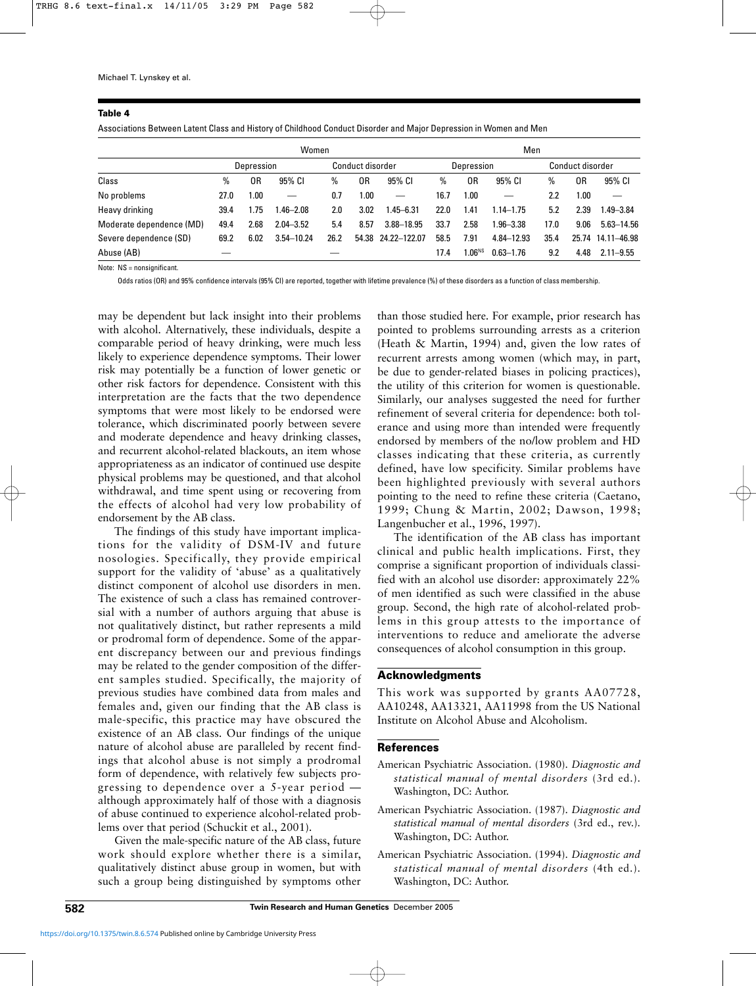Associations Between Latent Class and History of Childhood Conduct Disorder and Major Depression in Women and Men

|                          | Women      |      |                          |      |      |                    | Men  |                   |                  |      |      |                   |
|--------------------------|------------|------|--------------------------|------|------|--------------------|------|-------------------|------------------|------|------|-------------------|
|                          | Depression |      | Conduct disorder         |      |      | Depression         |      |                   | Conduct disorder |      |      |                   |
| Class                    | %          | 0R   | 95% CI                   | %    | 0R   | 95% CI             | %    | 0R                | 95% CI           | %    | 0R   | 95% CI            |
| No problems              | 27.0       | 1.00 | $\overline{\phantom{0}}$ | 0.7  | .00  |                    | 16.7 | 1.00              |                  | 2.2  | 1.00 |                   |
| Heavy drinking           | 39.4       | .75  | 1.46-2.08                | 2.0  | 3.02 | $1.45 - 6.31$      | 22.0 | 1.41              | 1.14–1.75        | 5.2  | 2.39 | $1.49 - 3.84$     |
| Moderate dependence (MD) | 49.4       | 2.68 | $2.04 - 3.52$            | 5.4  | 8.57 | 3.88-18.95         | 33.7 | 2.58              | 1.96-3.38        | 17.0 | 9.06 | $5.63 - 14.56$    |
| Severe dependence (SD)   | 69.2       | 6.02 | $3.54 - 10.24$           | 26.2 |      | 54.38 24.22-122.07 | 58.5 | 7.91              | $4.84 - 12.93$   | 35.4 |      | 25.74 14.11-46.98 |
| Abuse (AB)               |            |      |                          |      |      |                    | 17.4 | .06 <sup>NS</sup> | $0.63 - 1.76$    | 9.2  | 4.48 | $2.11 - 9.55$     |

Note: NS = nonsignificant.

Odds ratios (OR) and 95% confidence intervals (95% CI) are reported, together with lifetime prevalence (%) of these disorders as a function of class membership.

may be dependent but lack insight into their problems with alcohol. Alternatively, these individuals, despite a comparable period of heavy drinking, were much less likely to experience dependence symptoms. Their lower risk may potentially be a function of lower genetic or other risk factors for dependence. Consistent with this interpretation are the facts that the two dependence symptoms that were most likely to be endorsed were tolerance, which discriminated poorly between severe and moderate dependence and heavy drinking classes, and recurrent alcohol-related blackouts, an item whose appropriateness as an indicator of continued use despite physical problems may be questioned, and that alcohol withdrawal, and time spent using or recovering from the effects of alcohol had very low probability of endorsement by the AB class.

The findings of this study have important implications for the validity of DSM-IV and future nosologies. Specifically, they provide empirical support for the validity of 'abuse' as a qualitatively distinct component of alcohol use disorders in men. The existence of such a class has remained controversial with a number of authors arguing that abuse is not qualitatively distinct, but rather represents a mild or prodromal form of dependence. Some of the apparent discrepancy between our and previous findings may be related to the gender composition of the different samples studied. Specifically, the majority of previous studies have combined data from males and females and, given our finding that the AB class is male-specific, this practice may have obscured the existence of an AB class. Our findings of the unique nature of alcohol abuse are paralleled by recent findings that alcohol abuse is not simply a prodromal form of dependence, with relatively few subjects progressing to dependence over a 5-year period although approximately half of those with a diagnosis of abuse continued to experience alcohol-related problems over that period (Schuckit et al., 2001).

Given the male-specific nature of the AB class, future work should explore whether there is a similar, qualitatively distinct abuse group in women, but with such a group being distinguished by symptoms other

than those studied here. For example, prior research has pointed to problems surrounding arrests as a criterion (Heath & Martin, 1994) and, given the low rates of recurrent arrests among women (which may, in part, be due to gender-related biases in policing practices), the utility of this criterion for women is questionable. Similarly, our analyses suggested the need for further refinement of several criteria for dependence: both tolerance and using more than intended were frequently endorsed by members of the no/low problem and HD classes indicating that these criteria, as currently defined, have low specificity. Similar problems have been highlighted previously with several authors pointing to the need to refine these criteria (Caetano, 1999; Chung & Martin, 2002; Dawson, 1998; Langenbucher et al., 1996, 1997).

The identification of the AB class has important clinical and public health implications. First, they comprise a significant proportion of individuals classified with an alcohol use disorder: approximately 22% of men identified as such were classified in the abuse group. Second, the high rate of alcohol-related problems in this group attests to the importance of interventions to reduce and ameliorate the adverse consequences of alcohol consumption in this group.

#### **Acknowledgments**

This work was supported by grants AA07728, AA10248, AA13321, AA11998 from the US National Institute on Alcohol Abuse and Alcoholism.

#### **References**

- American Psychiatric Association. (1980). *Diagnostic and statistical manual of mental disorders* (3rd ed.). Washington, DC: Author.
- American Psychiatric Association. (1987). *Diagnostic and statistical manual of mental disorders* (3rd ed., rev.). Washington, DC: Author.
- American Psychiatric Association. (1994). *Diagnostic and statistical manual of mental disorders* (4th ed.). Washington, DC: Author.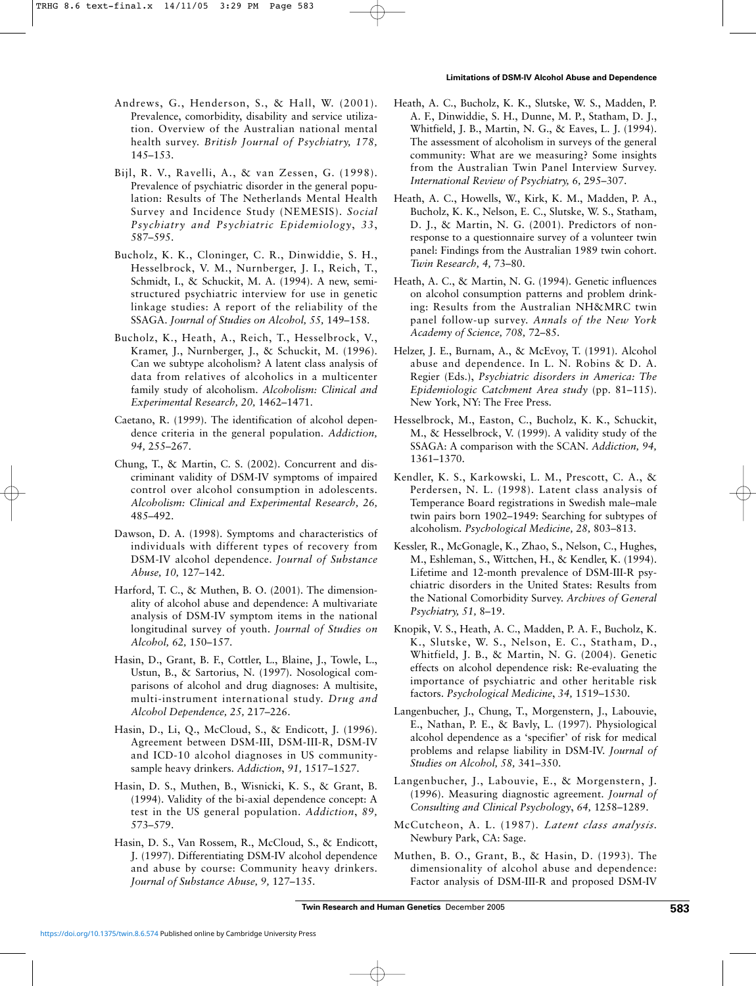- Andrews, G., Henderson, S., & Hall, W. (2001). Prevalence, comorbidity, disability and service utilization. Overview of the Australian national mental health survey. *British Journal of Psychiatry, 178,* 145–153.
- Bijl, R. V., Ravelli, A., & van Zessen, G. (1998). Prevalence of psychiatric disorder in the general population: Results of The Netherlands Mental Health Survey and Incidence Study (NEMESIS). *Social Psychiatry and Psychiatric Epidemiology*, *33*, 587–595.
- Bucholz, K. K., Cloninger, C. R., Dinwiddie, S. H., Hesselbrock, V. M., Nurnberger, J. I., Reich, T., Schmidt, I., & Schuckit, M. A. (1994). A new, semistructured psychiatric interview for use in genetic linkage studies: A report of the reliability of the SSAGA. *Journal of Studies on Alcohol, 55,* 149–158.
- Bucholz, K., Heath, A., Reich, T., Hesselbrock, V., Kramer, J., Nurnberger, J., & Schuckit, M. (1996). Can we subtype alcoholism? A latent class analysis of data from relatives of alcoholics in a multicenter family study of alcoholism. *Alcoholism: Clinical and Experimental Research, 20,* 1462–1471.
- Caetano, R. (1999). The identification of alcohol dependence criteria in the general population. *Addiction, 94,* 255–267.
- Chung, T., & Martin, C. S. (2002). Concurrent and discriminant validity of DSM-IV symptoms of impaired control over alcohol consumption in adolescents. *Alcoholism: Clinical and Experimental Research, 26,* 485–492.
- Dawson, D. A. (1998). Symptoms and characteristics of individuals with different types of recovery from DSM-IV alcohol dependence. *Journal of Substance Abuse, 10,* 127–142.
- Harford, T. C., & Muthen, B. O. (2001). The dimensionality of alcohol abuse and dependence: A multivariate analysis of DSM-IV symptom items in the national longitudinal survey of youth. *Journal of Studies on Alcohol, 62,* 150–157.
- Hasin, D., Grant, B. F., Cottler, L., Blaine, J., Towle, L., Ustun, B., & Sartorius, N. (1997). Nosological comparisons of alcohol and drug diagnoses: A multisite, multi-instrument international study. *Drug and Alcohol Dependence, 25,* 217–226.
- Hasin, D., Li, Q., McCloud, S., & Endicott, J. (1996). Agreement between DSM-III, DSM-III-R, DSM-IV and ICD-10 alcohol diagnoses in US communitysample heavy drinkers. *Addiction*, *91,* 1517–1527.
- Hasin, D. S., Muthen, B., Wisnicki, K. S., & Grant, B. (1994). Validity of the bi-axial dependence concept: A test in the US general population. *Addiction*, *89,* 573–579.
- Hasin, D. S., Van Rossem, R., McCloud, S., & Endicott, J. (1997). Differentiating DSM-IV alcohol dependence and abuse by course: Community heavy drinkers. *Journal of Substance Abuse, 9,* 127–135.
- Heath, A. C., Bucholz, K. K., Slutske, W. S., Madden, P. A. F., Dinwiddie, S. H., Dunne, M. P., Statham, D. J., Whitfield, J. B., Martin, N. G., & Eaves, L. J. (1994). The assessment of alcoholism in surveys of the general community: What are we measuring? Some insights from the Australian Twin Panel Interview Survey. *International Review of Psychiatry, 6,* 295–307.
- Heath, A. C., Howells, W., Kirk, K. M., Madden, P. A., Bucholz, K. K., Nelson, E. C., Slutske, W. S., Statham, D. J., & Martin, N. G. (2001). Predictors of nonresponse to a questionnaire survey of a volunteer twin panel: Findings from the Australian 1989 twin cohort. *Twin Research, 4,* 73–80.
- Heath, A. C., & Martin, N. G. (1994). Genetic influences on alcohol consumption patterns and problem drinking: Results from the Australian NH&MRC twin panel follow-up survey. *Annals of the New York Academy of Science, 708,* 72–85*.*
- Helzer, J. E., Burnam, A., & McEvoy, T. (1991). Alcohol abuse and dependence. In L. N. Robins & D. A. Regier (Eds.), *Psychiatric disorders in America: The Epidemiologic Catchment Area study* (pp. 81–115). New York, NY: The Free Press.
- Hesselbrock, M., Easton, C., Bucholz, K. K., Schuckit, M., & Hesselbrock, V. (1999). A validity study of the SSAGA: A comparison with the SCAN. *Addiction, 94,* 1361–1370.
- Kendler, K. S., Karkowski, L. M., Prescott, C. A., & Perdersen, N. L. (1998). Latent class analysis of Temperance Board registrations in Swedish male–male twin pairs born 1902–1949: Searching for subtypes of alcoholism. *Psychological Medicine, 28,* 803–813.
- Kessler, R., McGonagle, K., Zhao, S., Nelson, C., Hughes, M., Eshleman, S., Wittchen, H., & Kendler, K. (1994). Lifetime and 12-month prevalence of DSM-III-R psychiatric disorders in the United States: Results from the National Comorbidity Survey. *Archives of General Psychiatry, 51,* 8–19.
- Knopik, V. S., Heath, A. C., Madden, P. A. F., Bucholz, K. K., Slutske, W. S., Nelson, E. C., Statham, D., Whitfield, J. B., & Martin, N. G. (2004). Genetic effects on alcohol dependence risk: Re-evaluating the importance of psychiatric and other heritable risk factors. *Psychological Medicine*, *34,* 1519–1530.
- Langenbucher, J., Chung, T., Morgenstern, J., Labouvie, E., Nathan, P. E., & Bavly, L. (1997). Physiological alcohol dependence as a 'specifier' of risk for medical problems and relapse liability in DSM-IV. *Journal of Studies on Alcohol, 58,* 341–350.
- Langenbucher, J., Labouvie, E., & Morgenstern, J. (1996). Measuring diagnostic agreement. *Journal of Consulting and Clinical Psychology*, *64,* 1258–1289.
- McCutcheon, A. L. (1987). *Latent class analysis*. Newbury Park, CA: Sage.
- Muthen, B. O., Grant, B., & Hasin, D. (1993). The dimensionality of alcohol abuse and dependence: Factor analysis of DSM-III-R and proposed DSM-IV